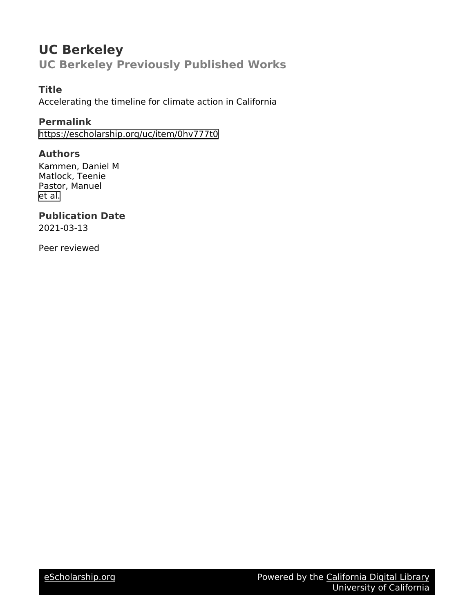# **UC Berkeley UC Berkeley Previously Published Works**

## **Title**

Accelerating the timeline for climate action in California

## **Permalink**

<https://escholarship.org/uc/item/0hv777t0>

## **Authors**

Kammen, Daniel M Matlock, Teenie Pastor, Manuel [et al.](https://escholarship.org/uc/item/0hv777t0#author)

# **Publication Date**

2021-03-13

Peer reviewed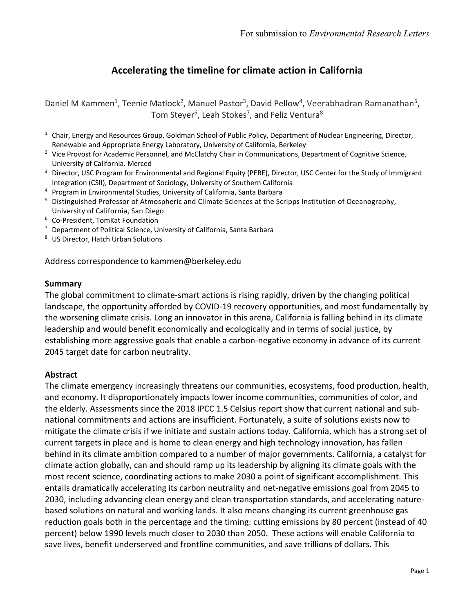## **Accelerating the timeline for climate action in California**

Daniel M Kammen<sup>1</sup>, Teenie Matlock<sup>2</sup>, Manuel Pastor<sup>3</sup>, David Pellow<sup>4</sup>, Veerabhadran Ramanathan<sup>5</sup>, Tom Steyer<sup>6</sup>, Leah Stokes<sup>7</sup>, and Feliz Ventura<sup>8</sup>

- $1$  Chair, Energy and Resources Group, Goldman School of Public Policy, Department of Nuclear Engineering, Director, Renewable and Appropriate Energy Laboratory, University of California, Berkeley
- <sup>2</sup> Vice Provost for Academic Personnel, and McClatchy Chair in Communications, Department of Cognitive Science, University of California. Merced
- <sup>3</sup> Director, USC Program for Environmental and Regional Equity (PERE), Director, USC Center for the Study of Immigrant Integration (CSII), Department of Sociology, University of Southern California
- <sup>4</sup> Program in Environmental Studies, University of California, Santa Barbara
- <sup>5</sup> Distinguished Professor of Atmospheric and Climate Sciences at the Scripps Institution of Oceanography, University of California, San Diego
- <sup>6</sup> Co-President, TomKat Foundation
- $7$  Department of Political Science, University of California, Santa Barbara
- <sup>8</sup> US Director, Hatch Urban Solutions

Address correspondence to kammen@berkeley.edu

#### **Summary**

The global commitment to climate-smart actions is rising rapidly, driven by the changing political landscape, the opportunity afforded by COVID-19 recovery opportunities, and most fundamentally by the worsening climate crisis. Long an innovator in this arena, California is falling behind in its climate leadership and would benefit economically and ecologically and in terms of social justice, by establishing more aggressive goals that enable a carbon-negative economy in advance of its current 2045 target date for carbon neutrality.

#### **Abstract**

The climate emergency increasingly threatens our communities, ecosystems, food production, health, and economy. It disproportionately impacts lower income communities, communities of color, and the elderly. Assessments since the 2018 IPCC 1.5 Celsius report show that current national and subnational commitments and actions are insufficient. Fortunately, a suite of solutions exists now to mitigate the climate crisis if we initiate and sustain actions today. California, which has a strong set of current targets in place and is home to clean energy and high technology innovation, has fallen behind in its climate ambition compared to a number of major governments. California, a catalyst for climate action globally, can and should ramp up its leadership by aligning its climate goals with the most recent science, coordinating actions to make 2030 a point of significant accomplishment. This entails dramatically accelerating its carbon neutrality and net-negative emissions goal from 2045 to 2030, including advancing clean energy and clean transportation standards, and accelerating naturebased solutions on natural and working lands. It also means changing its current greenhouse gas reduction goals both in the percentage and the timing: cutting emissions by 80 percent (instead of 40 percent) below 1990 levels much closer to 2030 than 2050. These actions will enable California to save lives, benefit underserved and frontline communities, and save trillions of dollars. This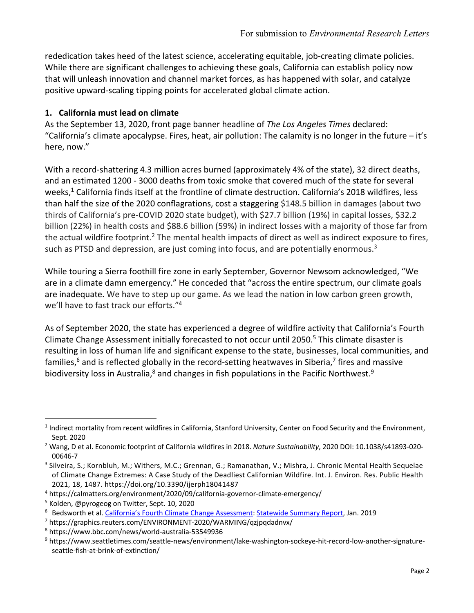rededication takes heed of the latest science, accelerating equitable, job-creating climate policies. While there are significant challenges to achieving these goals, California can establish policy now that will unleash innovation and channel market forces, as has happened with solar, and catalyze positive upward-scaling tipping points for accelerated global climate action.

#### **1. California must lead on climate**

As the September 13, 2020, front page banner headline of *The Los Angeles Times* declared: "California's climate apocalypse. Fires, heat, air pollution: The calamity is no longer in the future – it's here, now."

With a record-shattering 4.3 million acres burned (approximately 4% of the state), 32 direct deaths, and an estimated 1200 - 3000 deaths from toxic smoke that covered much of the state for several weeks,<sup>1</sup> California finds itself at the frontline of climate destruction. California's 2018 wildfires, less than half the size of the 2020 conflagrations, cost a staggering \$148.5 billion in damages (about two thirds of California's pre-COVID 2020 state budget), with \$27.7 billion (19%) in capital losses, \$32.2 billion (22%) in health costs and \$88.6 billion (59%) in indirect losses with a majority of those far from the actual wildfire footprint.<sup>2</sup> The mental health impacts of direct as well as indirect exposure to fires, such as PTSD and depression, are just coming into focus, and are potentially enormous.<sup>3</sup>

While touring a Sierra foothill fire zone in early September, Governor Newsom acknowledged, "We are in a climate damn emergency." He conceded that "across the entire spectrum, our climate goals are inadequate. We have to step up our game. As we lead the nation in low carbon green growth, we'll have to fast track our efforts."4

As of September 2020, the state has experienced a degree of wildfire activity that California's Fourth Climate Change Assessment initially forecasted to not occur until 2050. <sup>5</sup> This climate disaster is resulting in loss of human life and significant expense to the state, businesses, local communities, and families,<sup>6</sup> and is reflected globally in the record-setting heatwaves in Siberia,<sup>7</sup> fires and massive biodiversity loss in Australia,<sup>8</sup> and changes in fish populations in the Pacific Northwest.<sup>9</sup>

<sup>&</sup>lt;sup>1</sup> Indirect mortality from recent wildfires in California, Stanford University, Center on Food Security and the Environment, Sept. 2020

<sup>2</sup> Wang, D et al. Economic footprint of California wildfires in 2018. *Nature Sustainability*, 2020 DOI: 10.1038/s41893-020- 00646-7

<sup>3</sup> Silveira, S.; Kornbluh, M.; Withers, M.C.; Grennan, G.; Ramanathan, V.; Mishra, J. Chronic Mental Health Sequelae of Climate Change Extremes: A Case Study of the Deadliest Californian Wildfire. Int. J. Environ. Res. Public Health 2021, 18, 1487. https://doi.org/10.3390/ijerph18041487

<sup>&</sup>lt;sup>4</sup> https://calmatters.org/environment/2020/09/california-governor-climate-emergency/<br><sup>5</sup> Kolden, @pyrogeog on Twitter, Sept. 10, 2020

<sup>6</sup> Bedsworth et al. California's Fourth Climate Change Assessment: Statewide Summary Report, Jan. 2019

<sup>7</sup> https://graphics.reuters.com/ENVIRONMENT-2020/WARMING/qzjpqdadnvx/

<sup>8</sup> https://www.bbc.com/news/world-australia-53549936

<sup>9</sup> https://www.seattletimes.com/seattle-news/environment/lake-washington-sockeye-hit-record-low-another-signatureseattle-fish-at-brink-of-extinction/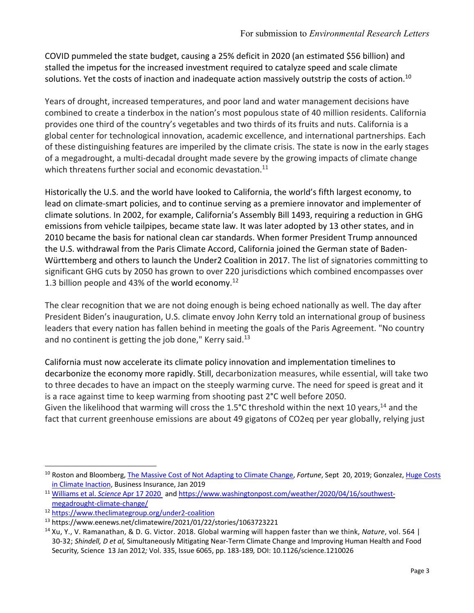COVID pummeled the state budget, causing a 25% deficit in 2020 (an estimated \$56 billion) and stalled the impetus for the increased investment required to catalyze speed and scale climate solutions. Yet the costs of inaction and inadequate action massively outstrip the costs of action.<sup>10</sup>

Years of drought, increased temperatures, and poor land and water management decisions have combined to create a tinderbox in the nation's most populous state of 40 million residents. California provides one third of the country's vegetables and two thirds of its fruits and nuts. California is a global center for technological innovation, academic excellence, and international partnerships. Each of these distinguishing features are imperiled by the climate crisis. The state is now in the early stages of a megadrought, a multi-decadal drought made severe by the growing impacts of climate change which threatens further social and economic devastation. $11$ 

Historically the U.S. and the world have looked to California, the world's fifth largest economy, to lead on climate-smart policies, and to continue serving as a premiere innovator and implementer of climate solutions. In 2002, for example, California's Assembly Bill 1493, requiring a reduction in GHG emissions from vehicle tailpipes, became state law. It was later adopted by 13 other states, and in 2010 became the basis for national clean car standards. When former President Trump announced the U.S. withdrawal from the Paris Climate Accord, California joined the German state of Baden-Württemberg and others to launch the Under2 Coalition in 2017. The list of signatories committing to significant GHG cuts by 2050 has grown to over 220 jurisdictions which combined encompasses over 1.3 billion people and 43% of the world economy.<sup>12</sup>

The clear recognition that we are not doing enough is being echoed nationally as well. The day after President Biden's inauguration, U.S. climate envoy John Kerry told an international group of business leaders that every nation has fallen behind in meeting the goals of the Paris Agreement. "No country and no continent is getting the job done," Kerry said.<sup>13</sup>

California must now accelerate its climate policy innovation and implementation timelines to decarbonize the economy more rapidly. Still, decarbonization measures, while essential, will take two to three decades to have an impact on the steeply warming curve. The need for speed is great and it is a race against time to keep warming from shooting past 2°C well before 2050.

Given the likelihood that warming will cross the 1.5°C threshold within the next 10 years,<sup>14</sup> and the fact that current greenhouse emissions are about 49 gigatons of CO2eq per year globally, relying just

<sup>10</sup> Roston and Bloomberg, The Massive Cost of Not Adapting to Climate Change, Fortune, Sept 20, 2019; Gonzalez, Huge Costs in Climate Inaction, Business Insurance, Jan 2019

<sup>11</sup> Williams et al. *Science* Apr 17 2020 and https://www.washingtonpost.com/weather/2020/04/16/southwestmegadrought-climate-change/

<sup>12</sup> https://www.theclimategroup.org/under2-coalition

<sup>13</sup> https://www.eenews.net/climatewire/2021/01/22/stories/1063723221

<sup>14</sup> Xu, Y., V. Ramanathan, & D. G. Victor. 2018. Global warming will happen faster than we think, *Nature*, vol. 564 | 30-32; *Shindell, D et al,* Simultaneously Mitigating Near-Term Climate Change and Improving Human Health and Food Security*,* Science 13 Jan 2012*;* Vol. 335, Issue 6065, pp. 183-189*,* DOI: 10.1126/science.1210026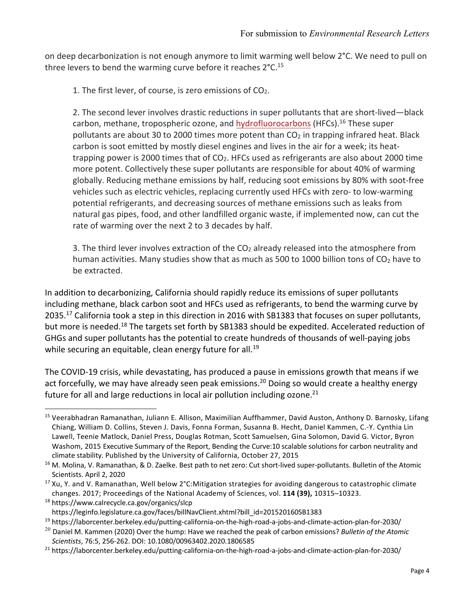on deep decarbonization is not enough anymore to limit warming well below 2°C. We need to pull on three levers to bend the warming curve before it reaches  $2^{\circ}$ C.<sup>15</sup>

1. The first lever, of course, is zero emissions of  $CO<sub>2</sub>$ .

2. The second lever involves drastic reductions in super pollutants that are short-lived—black carbon, methane, tropospheric ozone, and **hydrofluorocarbons** (HFCs).<sup>16</sup> These super pollutants are about 30 to 2000 times more potent than  $CO<sub>2</sub>$  in trapping infrared heat. Black carbon is soot emitted by mostly diesel engines and lives in the air for a week; its heattrapping power is 2000 times that of CO2. HFCs used as refrigerants are also about 2000 time more potent. Collectively these super pollutants are responsible for about 40% of warming globally. Reducing methane emissions by half, reducing soot emissions by 80% with soot-free vehicles such as electric vehicles, replacing currently used HFCs with zero- to low-warming potential refrigerants, and decreasing sources of methane emissions such as leaks from natural gas pipes, food, and other landfilled organic waste, if implemented now, can cut the rate of warming over the next 2 to 3 decades by half.

3. The third lever involves extraction of the  $CO<sub>2</sub>$  already released into the atmosphere from human activities. Many studies show that as much as 500 to 1000 billion tons of  $CO<sub>2</sub>$  have to be extracted.

In addition to decarbonizing, California should rapidly reduce its emissions of super pollutants including methane, black carbon soot and HFCs used as refrigerants, to bend the warming curve by 2035.<sup>17</sup> California took a step in this direction in 2016 with SB1383 that focuses on super pollutants, but more is needed.<sup>18</sup> The targets set forth by SB1383 should be expedited. Accelerated reduction of GHGs and super pollutants has the potential to create hundreds of thousands of well-paying jobs while securing an equitable, clean energy future for all.<sup>19</sup>

The COVID-19 crisis, while devastating, has produced a pause in emissions growth that means if we act forcefully, we may have already seen peak emissions.<sup>20</sup> Doing so would create a healthy energy future for all and large reductions in local air pollution including ozone.<sup>21</sup>

<sup>&</sup>lt;sup>15</sup> Veerabhadran Ramanathan, Juliann E. Allison, Maximilian Auffhammer, David Auston, Anthony D. Barnosky, Lifang Chiang, William D. Collins, Steven J. Davis, Fonna Forman, Susanna B. Hecht, Daniel Kammen, C.-Y. Cynthia Lin Lawell, Teenie Matlock, Daniel Press, Douglas Rotman, Scott Samuelsen, Gina Solomon, David G. Victor, Byron Washom, 2015 Executive Summary of the Report, Bending the Curve:10 scalable solutions for carbon neutrality and climate stability. Published by the University of California, October 27, 2015

<sup>&</sup>lt;sup>16</sup> M. Molina, V. Ramanathan, & D. Zaelke. Best path to net zero: Cut short-lived super-pollutants. Bulletin of the Atomic Scientists. April 2, 2020

 $17$  Xu, Y. and V. Ramanathan, Well below 2°C:Mitigation strategies for avoiding dangerous to catastrophic climate changes. 2017; Proceedings of the National Academy of Sciences, vol. **114 (39),** 10315–10323.

<sup>18</sup> https://www.calrecycle.ca.gov/organics/slcp

https://leginfo.legislature.ca.gov/faces/billNavClient.xhtml?bill\_id=201520160SB1383

<sup>19</sup> https://laborcenter.berkeley.edu/putting-california-on-the-high-road-a-jobs-and-climate-action-plan-for-2030/

<sup>20</sup> Daniel M. Kammen (2020) Over the hump: Have we reached the peak of carbon emissions? *Bulletin of the Atomic Scientists*, 76:5, 256-262. DOI: 10.1080/00963402.2020.1806585

<sup>&</sup>lt;sup>21</sup> https://laborcenter.berkeley.edu/putting-california-on-the-high-road-a-jobs-and-climate-action-plan-for-2030/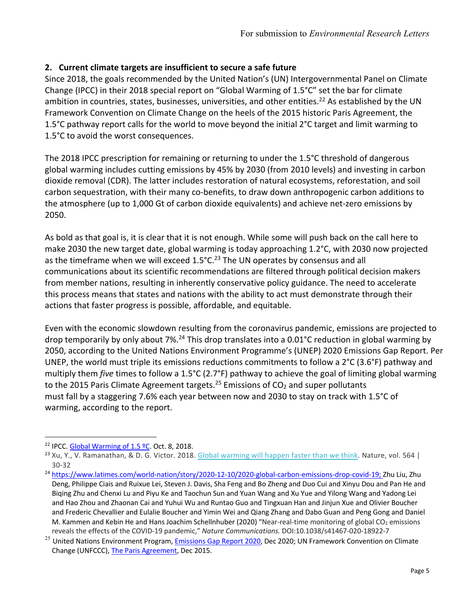## **2. Current climate targets are insufficient to secure a safe future**

Since 2018, the goals recommended by the United Nation's (UN) Intergovernmental Panel on Climate Change (IPCC) in their 2018 special report on "Global Warming of 1.5°C" set the bar for climate ambition in countries, states, businesses, universities, and other entities.<sup>22</sup> As established by the UN Framework Convention on Climate Change on the heels of the 2015 historic Paris Agreement, the 1.5°C pathway report calls for the world to move beyond the initial 2°C target and limit warming to 1.5°C to avoid the worst consequences.

The 2018 IPCC prescription for remaining or returning to under the 1.5°C threshold of dangerous global warming includes cutting emissions by 45% by 2030 (from 2010 levels) and investing in carbon dioxide removal (CDR). The latter includes restoration of natural ecosystems, reforestation, and soil carbon sequestration, with their many co-benefits, to draw down anthropogenic carbon additions to the atmosphere (up to 1,000 Gt of carbon dioxide equivalents) and achieve net-zero emissions by 2050.

As bold as that goal is, it is clear that it is not enough. While some will push back on the call here to make 2030 the new target date, global warming is today approaching 1.2°C, with 2030 now projected as the timeframe when we will exceed  $1.5^{\circ}$ C.<sup>23</sup> The UN operates by consensus and all communications about its scientific recommendations are filtered through political decision makers from member nations, resulting in inherently conservative policy guidance. The need to accelerate this process means that states and nations with the ability to act must demonstrate through their actions that faster progress is possible, affordable, and equitable.

Even with the economic slowdown resulting from the coronavirus pandemic, emissions are projected to drop temporarily by only about 7%.<sup>24</sup> This drop translates into a 0.01°C reduction in global warming by 2050, according to the United Nations Environment Programme's (UNEP) 2020 Emissions Gap Report. Per UNEP, the world must triple its emissions reductions commitments to follow a 2°C (3.6°F) pathway and multiply them *five* times to follow a 1.5°C (2.7°F) pathway to achieve the goal of limiting global warming to the 2015 Paris Climate Agreement targets.<sup>25</sup> Emissions of CO<sub>2</sub> and super pollutants must fall by a staggering 7.6% each year between now and 2030 to stay on track with 1.5°C of warming, according to the report.

<sup>&</sup>lt;sup>22</sup> IPCC. Global Warming of 1.5 °C. Oct. 8, 2018.

<sup>&</sup>lt;sup>23</sup> Xu, Y., V. Ramanathan, & D. G. Victor. 2018. Global warming will happen faster than we think. Nature, vol. 564 | 30-32

<sup>&</sup>lt;sup>24</sup> https://www.latimes.com/world-nation/story/2020-12-10/2020-global-carbon-emissions-drop-covid-19; Zhu Liu, Zhu Deng, Philippe Ciais and Ruixue Lei, Steven J. Davis, Sha Feng and Bo Zheng and Duo Cui and Xinyu Dou and Pan He and Biqing Zhu and Chenxi Lu and Piyu Ke and Taochun Sun and Yuan Wang and Xu Yue and Yilong Wang and Yadong Lei and Hao Zhou and Zhaonan Cai and Yuhui Wu and Runtao Guo and Tingxuan Han and Jinjun Xue and Olivier Boucher and Frederic Chevallier and Eulalie Boucher and Yimin Wei and Qiang Zhang and Dabo Guan and Peng Gong and Daniel M. Kammen and Kebin He and Hans Joachim Schellnhuber (2020) "Near-real-time monitoring of global CO<sub>2</sub> emissions reveals the effects of the COVID-19 pandemic," *Nature Communications.* DOI:10.1038/s41467-020-18922-7

<sup>&</sup>lt;sup>25</sup> United Nations Environment Program, *Emissions Gap Report 2020*, Dec 2020; UN Framework Convention on Climate Change (UNFCCC), The Paris Agreement, Dec 2015.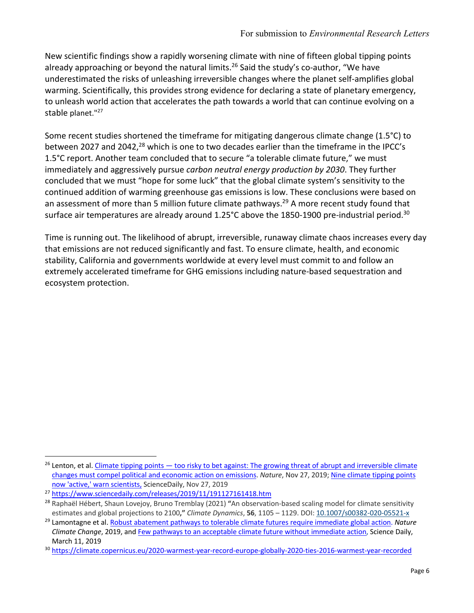New scientific findings show a rapidly worsening climate with nine of fifteen global tipping points already approaching or beyond the natural limits.<sup>26</sup> Said the study's co-author, "We have underestimated the risks of unleashing irreversible changes where the planet self-amplifies global warming. Scientifically, this provides strong evidence for declaring a state of planetary emergency, to unleash world action that accelerates the path towards a world that can continue evolving on a stable planet."<sup>27</sup>

Some recent studies shortened the timeframe for mitigating dangerous climate change (1.5°C) to between 2027 and 2042,<sup>28</sup> which is one to two decades earlier than the timeframe in the IPCC's 1.5°C report. Another team concluded that to secure "a tolerable climate future," we must immediately and aggressively pursue *carbon neutral energy production by 2030*. They further concluded that we must "hope for some luck" that the global climate system's sensitivity to the continued addition of warming greenhouse gas emissions is low. These conclusions were based on an assessment of more than 5 million future climate pathways.<sup>29</sup> A more recent study found that surface air temperatures are already around 1.25°C above the 1850-1900 pre-industrial period.<sup>30</sup>

Time is running out. The likelihood of abrupt, irreversible, runaway climate chaos increases every day that emissions are not reduced significantly and fast. To ensure climate, health, and economic stability, California and governments worldwide at every level must commit to and follow an extremely accelerated timeframe for GHG emissions including nature-based sequestration and ecosystem protection.

 $26$  Lenton, et al. Climate tipping points  $-$  too risky to bet against: The growing threat of abrupt and irreversible climate changes must compel political and economic action on emissions. *Nature*, Nov 27, 2019; Nine climate tipping points now 'active,' warn scientists, ScienceDaily, Nov 27, 2019

<sup>&</sup>lt;sup>27</sup> https://www.sciencedaily.com/releases/2019/11/191127161418.htm

<sup>28</sup> Raphaël Hébert, Shaun Lovejoy, Bruno Tremblay (2021) **"**An observation-based scaling model for climate sensitivity estimates and global projections to 2100**,"** *Climate Dynamics*, **56**, 1105 – 1129. DOI: 10.1007/s00382-020-05521-x

<sup>29</sup> Lamontagne et al. Robust abatement pathways to tolerable climate futures require immediate global action. *Nature Climate Change*, 2019, and Few pathways to an acceptable climate future without immediate action, Science Daily, March 11, 2019

<sup>30</sup> https://climate.copernicus.eu/2020-warmest-year-record-europe-globally-2020-ties-2016-warmest-year-recorded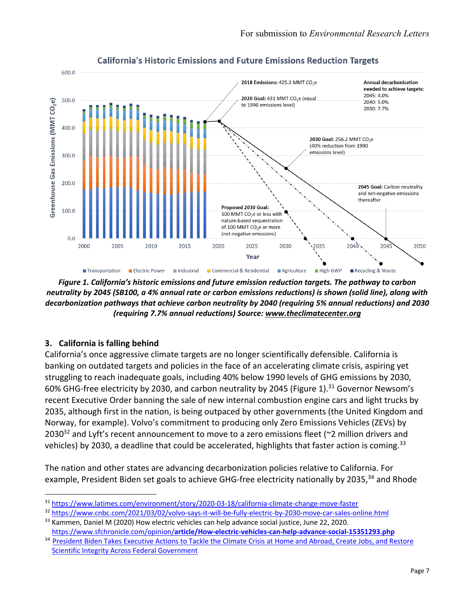

**California's Historic Emissions and Future Emissions Reduction Targets** 

*Figure 1. California's historic emissions and future emission reduction targets. The pathway to carbon neutrality by 2045 (SB100, a 4% annual rate or carbon emissions reductions) is shown (solid line), along with decarbonization pathways that achieve carbon neutrality by 2040 (requiring 5% annual reductions) and 2030 (requiring 7.7% annual reductions) Source: www.theclimatecenter.org* 

#### **3. California is falling behind**

California's once aggressive climate targets are no longer scientifically defensible. California is banking on outdated targets and policies in the face of an accelerating climate crisis, aspiring yet struggling to reach inadequate goals, including 40% below 1990 levels of GHG emissions by 2030, 60% GHG-free electricity by 2030, and carbon neutrality by 2045 (Figure 1).<sup>31</sup> Governor Newsom's recent Executive Order banning the sale of new internal combustion engine cars and light trucks by 2035, although first in the nation, is being outpaced by other governments (the United Kingdom and Norway, for example). Volvo's commitment to producing only Zero Emissions Vehicles (ZEVs) by 2030<sup>32</sup> and Lyft's recent announcement to move to a zero emissions fleet ( $\approx$ 2 million drivers and vehicles) by 2030, a deadline that could be accelerated, highlights that faster action is coming.<sup>33</sup>

The nation and other states are advancing decarbonization policies relative to California. For example, President Biden set goals to achieve GHG-free electricity nationally by 2035,<sup>34</sup> and Rhode

<sup>31</sup> https://www.latimes.com/environment/story/2020-03-18/california-climate-change-move-faster

<sup>32</sup> https://www.cnbc.com/2021/03/02/volvo-says-it-will-be-fully-electric-by-2030-move-car-sales-online.html

 $33$  Kammen, Daniel M (2020) How electric vehicles can help advance social justice, June 22, 2020. https://www.sfchronicle.com/opinion/**article/How-electric-vehicles-can-help-advance-social-15351293.php**

<sup>34</sup> President Biden Takes Executive Actions to Tackle the Climate Crisis at Home and Abroad, Create Jobs, and Restore Scientific Integrity Across Federal Government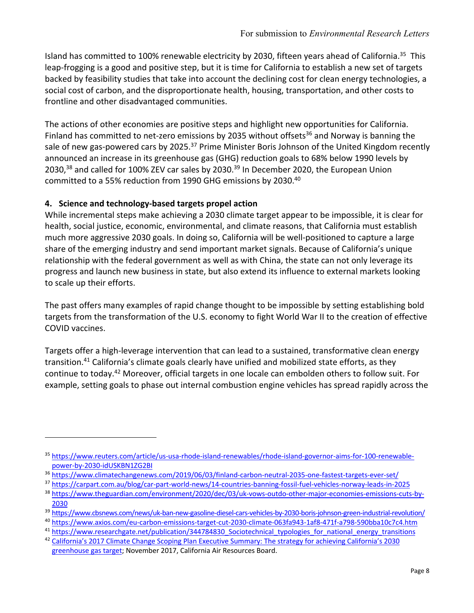Island has committed to 100% renewable electricity by 2030, fifteen years ahead of California.<sup>35</sup> This leap-frogging is a good and positive step, but it is time for California to establish a new set of targets backed by feasibility studies that take into account the declining cost for clean energy technologies, a social cost of carbon, and the disproportionate health, housing, transportation, and other costs to frontline and other disadvantaged communities.

The actions of other economies are positive steps and highlight new opportunities for California. Finland has committed to net-zero emissions by 2035 without offsets<sup>36</sup> and Norway is banning the sale of new gas-powered cars by 2025.<sup>37</sup> Prime Minister Boris Johnson of the United Kingdom recently announced an increase in its greenhouse gas (GHG) reduction goals to 68% below 1990 levels by 2030,<sup>38</sup> and called for 100% ZEV car sales by 2030.<sup>39</sup> In December 2020, the European Union committed to a 55% reduction from 1990 GHG emissions by 2030.<sup>40</sup>

#### **4. Science and technology-based targets propel action**

While incremental steps make achieving a 2030 climate target appear to be impossible, it is clear for health, social justice, economic, environmental, and climate reasons, that California must establish much more aggressive 2030 goals. In doing so, California will be well-positioned to capture a large share of the emerging industry and send important market signals. Because of California's unique relationship with the federal government as well as with China, the state can not only leverage its progress and launch new business in state, but also extend its influence to external markets looking to scale up their efforts.

The past offers many examples of rapid change thought to be impossible by setting establishing bold targets from the transformation of the U.S. economy to fight World War II to the creation of effective COVID vaccines.

Targets offer a high-leverage intervention that can lead to a sustained, transformative clean energy transition.<sup>41</sup> California's climate goals clearly have unified and mobilized state efforts, as they continue to today. <sup>42</sup> Moreover, official targets in one locale can embolden others to follow suit. For example, setting goals to phase out internal combustion engine vehicles has spread rapidly across the

<sup>35</sup> https://www.reuters.com/article/us-usa-rhode-island-renewables/rhode-island-governor-aims-for-100-renewablepower-by-2030-idUSKBN1ZG2BI

<sup>36</sup> https://www.climatechangenews.com/2019/06/03/finland-carbon-neutral-2035-one-fastest-targets-ever-set/

<sup>37</sup> https://carpart.com.au/blog/car-part-world-news/14-countries-banning-fossil-fuel-vehicles-norway-leads-in-2025

<sup>38</sup> https://www.theguardian.com/environment/2020/dec/03/uk-vows-outdo-other-major-economies-emissions-cuts-by-

<sup>2030&</sup>lt;br>https://www.cbsnews.com/news/uk-ban-new-gasoline-diesel-cars-vehicles-by-2030-boris-johnson-green-industrial-revolution/<br><sup>39</sup> https://www.axios.com/eu-carbon-emissions-target-cut-2030-climate-063fa943-1af8-471f-a798-5

<sup>&</sup>lt;sup>41</sup> https://www.researchgate.net/publication/344784830\_Sociotechnical\_typologies\_for\_national\_energy\_transitions

<sup>42</sup> California's 2017 Climate Change Scoping Plan Executive Summary: The strategy for achieving California's 2030 greenhouse gas target; November 2017, California Air Resources Board.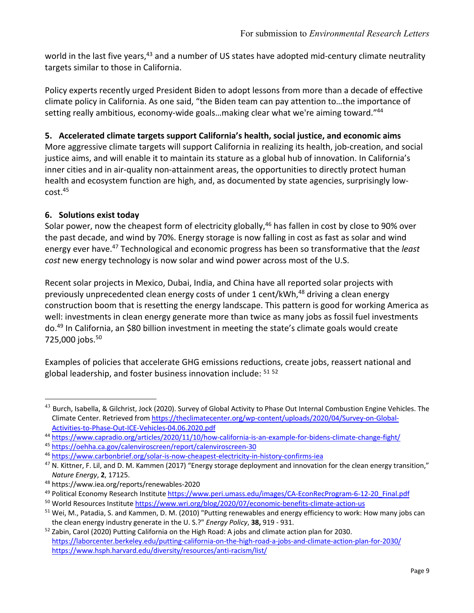world in the last five years,<sup>43</sup> and a number of US states have adopted mid-century climate neutrality targets similar to those in California.

Policy experts recently urged President Biden to adopt lessons from more than a decade of effective climate policy in California. As one said, "the Biden team can pay attention to…the importance of setting really ambitious, economy-wide goals…making clear what we're aiming toward."44

#### **5. Accelerated climate targets support California's health, social justice, and economic aims**

More aggressive climate targets will support California in realizing its health, job-creation, and social justice aims, and will enable it to maintain its stature as a global hub of innovation. In California's inner cities and in air-quality non-attainment areas, the opportunities to directly protect human health and ecosystem function are high, and, as documented by state agencies, surprisingly lowcost. 45

#### **6. Solutions exist today**

Solar power, now the cheapest form of electricity globally,<sup>46</sup> has fallen in cost by close to 90% over the past decade, and wind by 70%. Energy storage is now falling in cost as fast as solar and wind energy ever have. <sup>47</sup> Technological and economic progress has been so transformative that the *least cost* new energy technology is now solar and wind power across most of the U.S.

Recent solar projects in Mexico, Dubai, India, and China have all reported solar projects with previously unprecedented clean energy costs of under 1 cent/kWh,<sup>48</sup> driving a clean energy construction boom that is resetting the energy landscape. This pattern is good for working America as well: investments in clean energy generate more than twice as many jobs as fossil fuel investments do.49 In California, an \$80 billion investment in meeting the state's climate goals would create 725,000 jobs.<sup>50</sup>

Examples of policies that accelerate GHG emissions reductions, create jobs, reassert national and global leadership, and foster business innovation include: 51 <sup>52</sup>

 $^{43}$  Burch, Isabella, & Gilchrist, Jock (2020). Survey of Global Activity to Phase Out Internal Combustion Engine Vehicles. The Climate Center. Retrieved from https://theclimatecenter.org/wp-content/uploads/2020/04/Survey-on-Global-Activities-to-Phase-Out-ICE-Vehicles-04.06.2020.pdf

<sup>44</sup> https://www.capradio.org/articles/2020/11/10/how-california-is-an-example-for-bidens-climate-change-fight/

<sup>45</sup> https://oehha.ca.gov/calenviroscreen/report/calenviroscreen-30

<sup>46</sup> https://www.carbonbrief.org/solar-is-now-cheapest-electricity-in-history-confirms-iea

 $47$  N. Kittner, F. Lil, and D. M. Kammen (2017) "Energy storage deployment and innovation for the clean energy transition," *Nature Energy*, **2**, 17125.<br><sup>48</sup> https://www.iea.org/reports/renewables-2020<br><sup>49</sup> Political Economy Research Institute https://www.peri.umass.edu/images/CA-EconRecProgram-6-12-20\_Final.pdf

<sup>50</sup> World Resources Institute https://www.wri.org/blog/2020/07/economic-benefits-climate-action-us

 $51$  Wei, M., Patadia, S. and Kammen, D. M. (2010) "Putting renewables and energy efficiency to work: How many jobs can the clean energy industry generate in the U. S.?" *Energy Policy*, **38,** 919 - 931.

<sup>52</sup> Zabin, Carol (2020) Putting California on the High Road: A jobs and climate action plan for 2030. https://laborcenter.berkeley.edu/putting-california-on-the-high-road-a-jobs-and-climate-action-plan-for-2030/ https://www.hsph.harvard.edu/diversity/resources/anti-racism/list/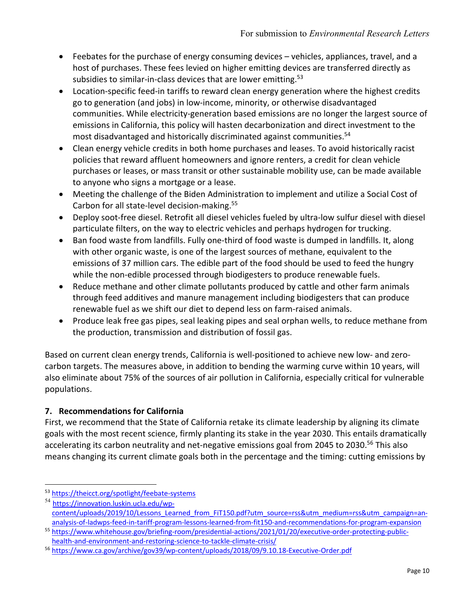- Feebates for the purchase of energy consuming devices vehicles, appliances, travel, and a host of purchases. These fees levied on higher emitting devices are transferred directly as subsidies to similar-in-class devices that are lower emitting.<sup>53</sup>
- Location-specific feed-in tariffs to reward clean energy generation where the highest credits go to generation (and jobs) in low-income, minority, or otherwise disadvantaged communities. While electricity-generation based emissions are no longer the largest source of emissions in California, this policy will hasten decarbonization and direct investment to the most disadvantaged and historically discriminated against communities. 54
- Clean energy vehicle credits in both home purchases and leases. To avoid historically racist policies that reward affluent homeowners and ignore renters, a credit for clean vehicle purchases or leases, or mass transit or other sustainable mobility use, can be made available to anyone who signs a mortgage or a lease.
- Meeting the challenge of the Biden Administration to implement and utilize a Social Cost of Carbon for all state-level decision-making.<sup>55</sup>
- Deploy soot-free diesel. Retrofit all diesel vehicles fueled by ultra-low sulfur diesel with diesel particulate filters, on the way to electric vehicles and perhaps hydrogen for trucking.
- Ban food waste from landfills. Fully one-third of food waste is dumped in landfills. It, along with other organic waste, is one of the largest sources of methane, equivalent to the emissions of 37 million cars. The edible part of the food should be used to feed the hungry while the non-edible processed through biodigesters to produce renewable fuels.
- Reduce methane and other climate pollutants produced by cattle and other farm animals through feed additives and manure management including biodigesters that can produce renewable fuel as we shift our diet to depend less on farm-raised animals.
- Produce leak free gas pipes, seal leaking pipes and seal orphan wells, to reduce methane from the production, transmission and distribution of fossil gas.

Based on current clean energy trends, California is well-positioned to achieve new low- and zerocarbon targets. The measures above, in addition to bending the warming curve within 10 years, will also eliminate about 75% of the sources of air pollution in California, especially critical for vulnerable populations.

## **7. Recommendations for California**

First, we recommend that the State of California retake its climate leadership by aligning its climate goals with the most recent science, firmly planting its stake in the year 2030. This entails dramatically accelerating its carbon neutrality and net-negative emissions goal from 2045 to 2030.<sup>56</sup> This also means changing its current climate goals both in the percentage and the timing: cutting emissions by

<sup>53</sup> https://theicct.org/spotlight/feebate-systems

<sup>54</sup> https://innovation.luskin.ucla.edu/wpcontent/uploads/2019/10/Lessons\_Learned\_from\_FiT150.pdf?utm\_source=rss&utm\_medium=rss&utm\_campaign=ananalysis-of-ladwps-feed-in-tariff-program-lessons-learned-from-fit150-and-recommendations-for-program-expansion

<sup>55</sup> https://www.whitehouse.gov/briefing-room/presidential-actions/2021/01/20/executive-order-protecting-publichealth-and-environment-and-restoring-science-to-tackle-climate-crisis/

<sup>56</sup> https://www.ca.gov/archive/gov39/wp-content/uploads/2018/09/9.10.18-Executive-Order.pdf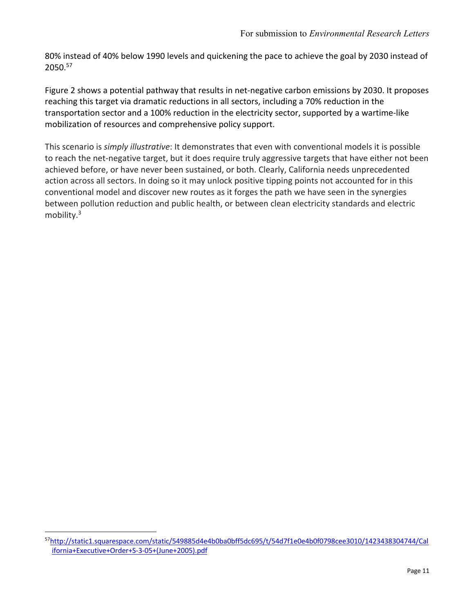80% instead of 40% below 1990 levels and quickening the pace to achieve the goal by 2030 instead of 2050. 57

Figure 2 shows a potential pathway that results in net-negative carbon emissions by 2030. It proposes reaching this target via dramatic reductions in all sectors, including a 70% reduction in the transportation sector and a 100% reduction in the electricity sector, supported by a wartime-like mobilization of resources and comprehensive policy support.

This scenario is *simply illustrative*: It demonstrates that even with conventional models it is possible to reach the net-negative target, but it does require truly aggressive targets that have either not been achieved before, or have never been sustained, or both. Clearly, California needs unprecedented action across all sectors. In doing so it may unlock positive tipping points not accounted for in this conventional model and discover new routes as it forges the path we have seen in the synergies between pollution reduction and public health, or between clean electricity standards and electric mobility.<sup>3</sup>

<sup>57</sup>http://static1.squarespace.com/static/549885d4e4b0ba0bff5dc695/t/54d7f1e0e4b0f0798cee3010/1423438304744/Cal ifornia+Executive+Order+S-3-05+(June+2005).pdf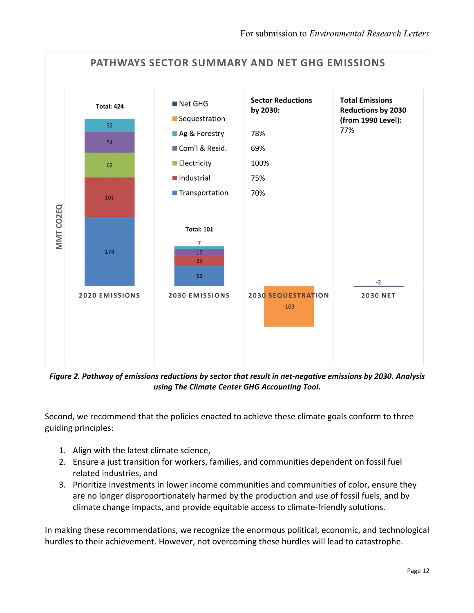

*Figure 2. Pathway of emissions reductions by sector that result in net-negative emissions by 2030. Analysis using The Climate Center GHG Accounting Tool.*

Second, we recommend that the policies enacted to achieve these climate goals conform to three guiding principles:

- 1. Align with the latest climate science,
- 2. Ensure a just transition for workers, families, and communities dependent on fossil fuel related industries, and
- 3. Prioritize investments in lower income communities and communities of color, ensure they are no longer disproportionately harmed by the production and use of fossil fuels, and by climate change impacts, and provide equitable access to climate-friendly solutions.

In making these recommendations, we recognize the enormous political, economic, and technological hurdles to their achievement. However, not overcoming these hurdles will lead to catastrophe.